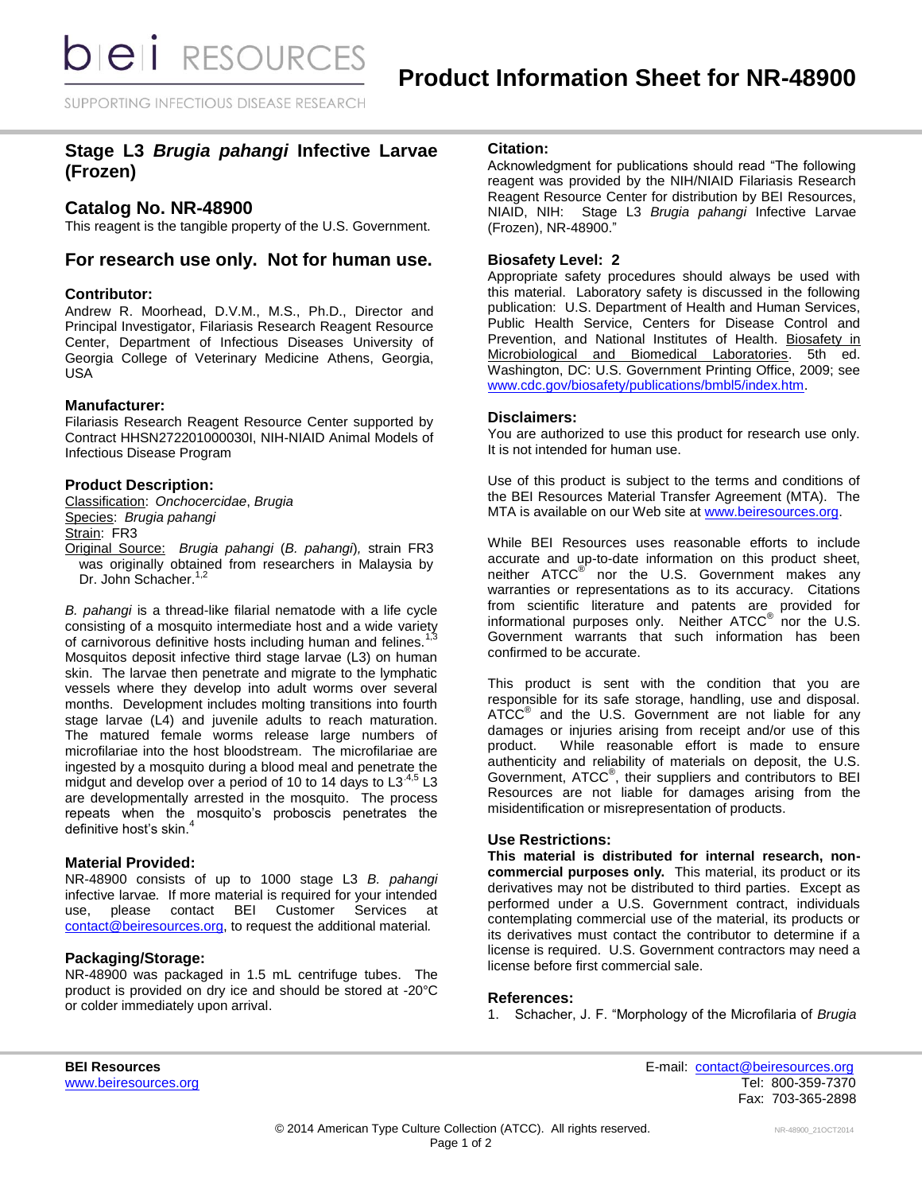SUPPORTING INFECTIOUS DISEASE RESEARCH

# **Stage L3** *Brugia pahangi* **Infective Larvae (Frozen)**

## **Catalog No. NR-48900**

This reagent is the tangible property of the U.S. Government.

## **For research use only. Not for human use.**

#### **Contributor:**

Andrew R. Moorhead, D.V.M., M.S., Ph.D., Director and Principal Investigator, Filariasis Research Reagent Resource Center, Department of Infectious Diseases University of Georgia College of Veterinary Medicine Athens, Georgia, USA

#### **Manufacturer:**

Filariasis Research Reagent Resource Center supported by Contract HHSN272201000030I, NIH-NIAID Animal Models of Infectious Disease Program

### **Product Description:**

Classification: *Onchocercidae*, *Brugia* Species: *Brugia pahangi* Strain: FR3

Original Source: *Brugia pahangi* (*B. pahangi*)*,* strain FR3 was originally obtained from researchers in Malaysia by Dr. John Schacher.<sup>1,2</sup>

*B. pahangi* is a thread-like filarial nematode with a life cycle consisting of a mosquito intermediate host and a wide variety of carnivorous definitive hosts including human and felines. Mosquitos deposit infective third stage larvae (L3) on human skin. The larvae then penetrate and migrate to the lymphatic vessels where they develop into adult worms over several months. Development includes molting transitions into fourth stage larvae (L4) and juvenile adults to reach maturation. The matured female worms release large numbers of microfilariae into the host bloodstream. The microfilariae are ingested by a mosquito during a blood meal and penetrate the midgut and develop over a period of 10 to 14 days to  $L3^{4,5}$  L3 are developmentally arrested in the mosquito. The process repeats when the mosquito's proboscis penetrates the definitive host's skin.

## **Material Provided:**

NR-48900 consists of up to 1000 stage L3 *B. pahangi* infective larvae*.* If more material is required for your intended use, please contact BEI Customer Services at [contact@beiresources.org,](mailto:contact@beiresources.org) to request the additional material*.*

#### **Packaging/Storage:**

NR-48900 was packaged in 1.5 mL centrifuge tubes. The product is provided on dry ice and should be stored at -20°C or colder immediately upon arrival.

### **Citation:**

Acknowledgment for publications should read "The following reagent was provided by the NIH/NIAID Filariasis Research Reagent Resource Center for distribution by BEI Resources, NIAID, NIH: Stage L3 *Brugia pahangi* Infective Larvae (Frozen), NR-48900."

## **Biosafety Level: 2**

Appropriate safety procedures should always be used with this material. Laboratory safety is discussed in the following publication: U.S. Department of Health and Human Services, Public Health Service, Centers for Disease Control and Prevention, and National Institutes of Health. Biosafety in Microbiological and Biomedical Laboratories. 5th ed. Washington, DC: U.S. Government Printing Office, 2009; see [www.cdc.gov/biosafety/publications/bmbl5/index.htm.](http://www.cdc.gov/biosafety/publications/bmbl5/index.htm)

#### **Disclaimers:**

You are authorized to use this product for research use only. It is not intended for human use.

Use of this product is subject to the terms and conditions of the BEI Resources Material Transfer Agreement (MTA). The MTA is available on our Web site at [www.beiresources.org.](http://www.beiresources.org/)

While BEI Resources uses reasonable efforts to include accurate and up-to-date information on this product sheet, neither ATCC<sup>®</sup> nor the U.S. Government makes any warranties or representations as to its accuracy. Citations from scientific literature and patents are provided for informational purposes only. Neither  $\tt ATCC^@$  nor the U.S. Government warrants that such information has been confirmed to be accurate.

This product is sent with the condition that you are responsible for its safe storage, handling, use and disposal. ATCC<sup>®</sup> and the U.S. Government are not liable for any damages or injuries arising from receipt and/or use of this product. While reasonable effort is made to ensure authenticity and reliability of materials on deposit, the U.S. Government, ATCC® , their suppliers and contributors to BEI Resources are not liable for damages arising from the misidentification or misrepresentation of products.

#### **Use Restrictions:**

**This material is distributed for internal research, noncommercial purposes only.** This material, its product or its derivatives may not be distributed to third parties. Except as performed under a U.S. Government contract, individuals contemplating commercial use of the material, its products or its derivatives must contact the contributor to determine if a license is required. U.S. Government contractors may need a license before first commercial sale.

#### **References:**

1. Schacher, J. F. "Morphology of the Microfilaria of *Brugia* 

**BEI Resources** E-mail: [contact@beiresources.org](mailto:contact@beiresources.org) [www.beiresources.org](http://www.beiresources.org/)Tel: 800-359-7370 Fax: 703-365-2898